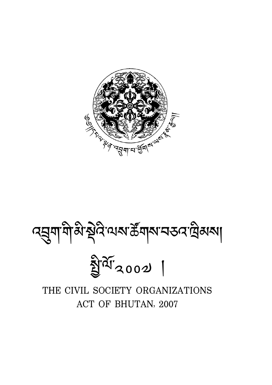# THE CIVIL SOCIETY ORGANIZATIONS ACT OF BHUTAN, 2007

ह्येथे २००२।

ষ্ক্ৰশাশীৰ্ষাষ্ট্ৰইন্মৰাক্টবাৰামৰ্ত্তৰ ব্ৰিমৰা

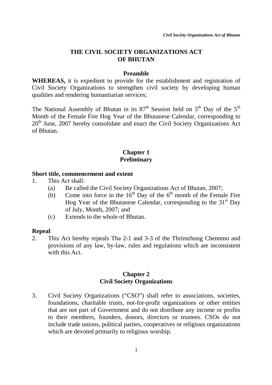## **THE CIVIL SOCIETY ORGANIZATIONS ACT OF BHUTAN**

## **Preamble**

**WHEREAS,** it is expedient to provide for the establishment and registration of Civil Society Organizations to strengthen civil society by developing human qualities and rendering humanitarian services;

The National Assembly of Bhutan in its  $87<sup>th</sup>$  Session held on  $5<sup>th</sup>$  Day of the  $5<sup>th</sup>$ Month of the Female Fire Hog Year of the Bhutanese Calendar, corresponding to  $20<sup>th</sup>$  June, 2007 hereby consolidate and enact the Civil Society Organizations Act of Bhutan.

## **Chapter 1 Preliminary**

#### **Short title, commencement and extent**

- 1. This Act shall:
	- (a) Be called the Civil Society Organizations Act of Bhutan, 2007;
	- (b) Come into force in the  $16<sup>th</sup>$  Day of the  $6<sup>th</sup>$  month of the Female Fire Hog Year of the Bhutanese Calendar, corresponding to the  $31<sup>st</sup>$  Day of July, Month, 2007; and
	- (c) Extends to the whole of Bhutan.

## **Repeal**

2. This Act hereby repeals Tha 2-1 and 3-3 of the Thrimzhung Chennmo and provisions of any law, by-law, rules and regulations which are inconsistent with this Act.

## **Chapter 2 Civil Society Organizations**

3. Civil Society Organizations ("CSO") shall refer to associations, societies, foundations, charitable trusts, not-for-profit organizations or other entities that are not part of Government and do not distribute any income or profits to their members, founders, donors, directors or trustees. CSOs do not include trade unions, political parties, cooperatives or religious organizations which are devoted primarily to religious worship.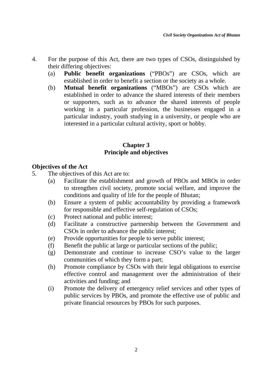- 4. For the purpose of this Act, there are two types of CSOs, distinguished by their differing objectives:
	- (a) **Public benefit organizations** ("PBOs") are CSOs, which are established in order to benefit a section or the society as a whole.
	- (b) **Mutual benefit organizations** ("MBOs") are CSOs which are established in order to advance the shared interests of their members or supporters, such as to advance the shared interests of people working in a particular profession, the businesses engaged in a particular industry, youth studying in a university, or people who are interested in a particular cultural activity, sport or hobby.

# **Chapter 3 Principle and objectives**

# **Objectives of the Act**

- 5. The objectives of this Act are to:
	- (a) Facilitate the establishment and growth of PBOs and MBOs in order to strengthen civil society, promote social welfare, and improve the conditions and quality of life for the people of Bhutan;
	- (b) Ensure a system of public accountability by providing a framework for responsible and effective self-regulation of CSOs;
	- (c) Protect national and public interest;
	- (d) Facilitate a constructive partnership between the Government and CSOs in order to advance the public interest;
	- (e) Provide opportunities for people to serve public interest;
	- (f) Benefit the public at large or particular sections of the public;
	- (g) Demonstrate and continue to increase CSO's value to the larger communities of which they form a part;
	- (h) Promote compliance by CSOs with their legal obligations to exercise effective control and management over the administration of their activities and funding; and
	- (i) Promote the delivery of emergency relief services and other types of public services by PBOs, and promote the effective use of public and private financial resources by PBOs for such purposes.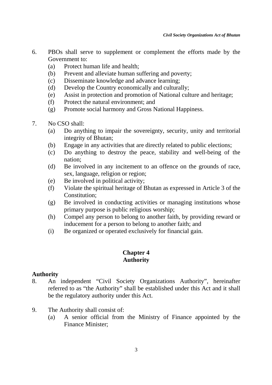- 6. PBOs shall serve to supplement or complement the efforts made by the Government to:
	- (a) Protect human life and health;
	- (b) Prevent and alleviate human suffering and poverty;
	- (c) Disseminate knowledge and advance learning;
	- (d) Develop the Country economically and culturally;
	- (e) Assist in protection and promotion of National culture and heritage;
	- (f) Protect the natural environment; and
	- (g) Promote social harmony and Gross National Happiness.
- 7. No CSO shall:
	- (a) Do anything to impair the sovereignty, security, unity and territorial integrity of Bhutan;
	- (b) Engage in any activities that are directly related to public elections;
	- (c) Do anything to destroy the peace, stability and well-being of the nation;
	- (d) Be involved in any incitement to an offence on the grounds of race, sex, language, religion or region;
	- (e) Be involved in political activity;
	- (f) Violate the spiritual heritage of Bhutan as expressed in Article 3 of the Constitution;
	- (g) Be involved in conducting activities or managing institutions whose primary purpose is public religious worship;
	- (h) Compel any person to belong to another faith, by providing reward or inducement for a person to belong to another faith; and
	- (i) Be organized or operated exclusively for financial gain.

# **Chapter 4 Authority**

## **Authority**

- 8. An independent "Civil Society Organizations Authority", hereinafter referred to as "the Authority" shall be established under this Act and it shall be the regulatory authority under this Act.
- 9. The Authority shall consist of:
	- (a) A senior official from the Ministry of Finance appointed by the Finance Minister;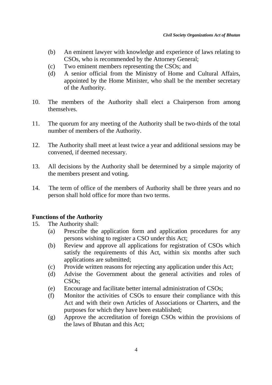- (b) An eminent lawyer with knowledge and experience of laws relating to CSOs, who is recommended by the Attorney General;
- (c) Two eminent members representing the CSOs; and
- (d) A senior official from the Ministry of Home and Cultural Affairs, appointed by the Home Minister, who shall be the member secretary of the Authority.
- 10. The members of the Authority shall elect a Chairperson from among themselves.
- 11. The quorum for any meeting of the Authority shall be two-thirds of the total number of members of the Authority.
- 12. The Authority shall meet at least twice a year and additional sessions may be convened, if deemed necessary.
- 13. All decisions by the Authority shall be determined by a simple majority of the members present and voting.
- 14. The term of office of the members of Authority shall be three years and no person shall hold office for more than two terms.

## **Functions of the Authority**

- 15. The Authority shall:
	- (a) Prescribe the application form and application procedures for any persons wishing to register a CSO under this Act;
	- (b) Review and approve all applications for registration of CSOs which satisfy the requirements of this Act, within six months after such applications are submitted;
	- (c) Provide written reasons for rejecting any application under this Act;
	- (d) Advise the Government about the general activities and roles of CSOs;
	- (e) Encourage and facilitate better internal administration of CSOs;
	- (f) Monitor the activities of CSOs to ensure their compliance with this Act and with their own Articles of Associations or Charters, and the purposes for which they have been established;
	- (g) Approve the accreditation of foreign CSOs within the provisions of the laws of Bhutan and this Act;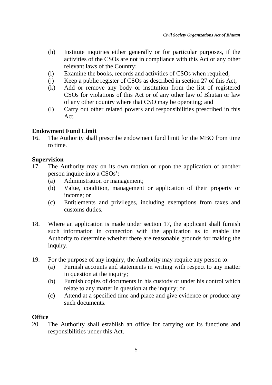- (h) Institute inquiries either generally or for particular purposes, if the activities of the CSOs are not in compliance with this Act or any other relevant laws of the Country;
- (i) Examine the books, records and activities of CSOs when required;
- (j) Keep a public register of CSOs as described in section 27 of this Act;
- (k) Add or remove any body or institution from the list of registered CSOs for violations of this Act or of any other law of Bhutan or law of any other country where that CSO may be operating; and
- (l) Carry out other related powers and responsibilities prescribed in this Act.

## **Endowment Fund Limit**

16. The Authority shall prescribe endowment fund limit for the MBO from time to time.

# **Supervision**

- 17. The Authority may on its own motion or upon the application of another person inquire into a CSOs':
	- (a) Administration or management;
	- (b) Value, condition, management or application of their property or income; or
	- (c) Entitlements and privileges, including exemptions from taxes and customs duties.
- 18. Where an application is made under section 17, the applicant shall furnish such information in connection with the application as to enable the Authority to determine whether there are reasonable grounds for making the inquiry.
- 19. For the purpose of any inquiry, the Authority may require any person to:
	- (a) Furnish accounts and statements in writing with respect to any matter in question at the inquiry;
	- (b) Furnish copies of documents in his custody or under his control which relate to any matter in question at the inquiry; or
	- (c) Attend at a specified time and place and give evidence or produce any such documents.

## **Office**

20. The Authority shall establish an office for carrying out its functions and responsibilities under this Act.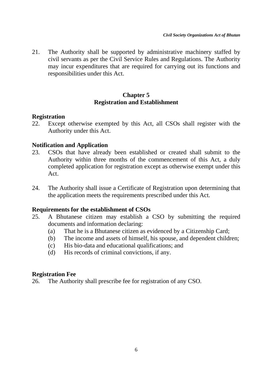21. The Authority shall be supported by administrative machinery staffed by civil servants as per the Civil Service Rules and Regulations. The Authority may incur expenditures that are required for carrying out its functions and responsibilities under this Act.

# **Chapter 5 Registration and Establishment**

## **Registration**

22. Except otherwise exempted by this Act, all CSOs shall register with the Authority under this Act.

# **Notification and Application**

- 23. CSOs that have already been established or created shall submit to the Authority within three months of the commencement of this Act, a duly completed application for registration except as otherwise exempt under this Act.
- 24. The Authority shall issue a Certificate of Registration upon determining that the application meets the requirements prescribed under this Act.

# **Requirements for the establishment of CSOs**

- 25. A Bhutanese citizen may establish a CSO by submitting the required documents and information declaring:
	- (a) That he is a Bhutanese citizen as evidenced by a Citizenship Card;
	- (b) The income and assets of himself, his spouse, and dependent children;
	- (c) His bio-data and educational qualifications; and
	- (d) His records of criminal convictions, if any.

## **Registration Fee**

26. The Authority shall prescribe fee for registration of any CSO.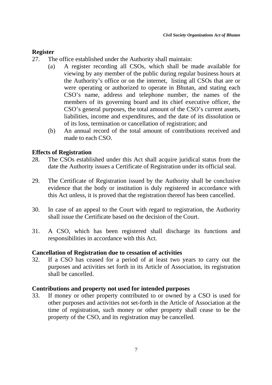## **Register**

- 27. The office established under the Authority shall maintain:
	- (a) A register recording all CSOs, which shall be made available for viewing by any member of the public during regular business hours at the Authority's office or on the internet, listing all CSOs that are or were operating or authorized to operate in Bhutan, and stating each CSO's name, address and telephone number, the names of the members of its governing board and its chief executive officer, the CSO's general purposes, the total amount of the CSO's current assets, liabilities, income and expenditures, and the date of its dissolution or of its loss, termination or cancellation of registration; and
	- (b) An annual record of the total amount of contributions received and made to each CSO.

## **Effects of Registration**

- 28. The CSOs established under this Act shall acquire juridical status from the date the Authority issues a Certificate of Registration under its official seal.
- 29. The Certificate of Registration issued by the Authority shall be conclusive evidence that the body or institution is duly registered in accordance with this Act unless, it is proved that the registration thereof has been cancelled.
- 30. In case of an appeal to the Court with regard to registration, the Authority shall issue the Certificate based on the decision of the Court.
- 31. A CSO, which has been registered shall discharge its functions and responsibilities in accordance with this Act.

#### **Cancellation of Registration due to cessation of activities**

32. If a CSO has ceased for a period of at least two years to carry out the purposes and activities set forth in its Article of Association, its registration shall be cancelled.

## **Contributions and property not used for intended purposes**

33. If money or other property contributed to or owned by a CSO is used for other purposes and activities not set-forth in the Article of Association at the time of registration, such money or other property shall cease to be the property of the CSO, and its registration may be cancelled.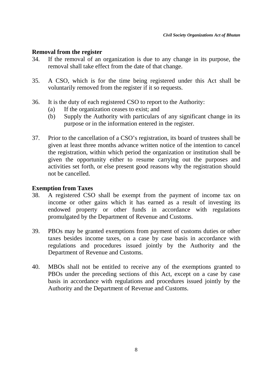# **Removal from the register**

- 34. If the removal of an organization is due to any change in its purpose, the removal shall take effect from the date of that change.
- 35. A CSO, which is for the time being registered under this Act shall be voluntarily removed from the register if it so requests.
- 36. It is the duty of each registered CSO to report to the Authority:
	- (a) If the organization ceases to exist; and
	- (b) Supply the Authority with particulars of any significant change in its purpose or in the information entered in the register.
- 37. Prior to the cancellation of a CSO's registration, its board of trustees shall be given at least three months advance written notice of the intention to cancel the registration, within which period the organization or institution shall be given the opportunity either to resume carrying out the purposes and activities set forth, or else present good reasons why the registration should not be cancelled.

# **Exemption from Taxes**

- 38. A registered CSO shall be exempt from the payment of income tax on income or other gains which it has earned as a result of investing its endowed property or other funds in accordance with regulations promulgated by the Department of Revenue and Customs.
- 39. PBOs may be granted exemptions from payment of customs duties or other taxes besides income taxes, on a case by case basis in accordance with regulations and procedures issued jointly by the Authority and the Department of Revenue and Customs.
- 40. MBOs shall not be entitled to receive any of the exemptions granted to PBOs under the preceding sections of this Act, except on a case by case basis in accordance with regulations and procedures issued jointly by the Authority and the Department of Revenue and Customs.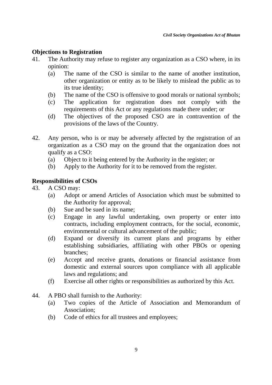# **Objections to Registration**

- 41. The Authority may refuse to register any organization as a CSO where, in its opinion:
	- (a) The name of the CSO is similar to the name of another institution, other organization or entity as to be likely to mislead the public as to its true identity;
	- (b) The name of the CSO is offensive to good morals or national symbols;
	- (c) The application for registration does not comply with the requirements of this Act or any regulations made there under; or
	- (d) The objectives of the proposed CSO are in contravention of the provisions of the laws of the Country.
- 42. Any person, who is or may be adversely affected by the registration of an organization as a CSO may on the ground that the organization does not qualify as a CSO:
	- (a) Object to it being entered by the Authority in the register; or
	- (b) Apply to the Authority for it to be removed from the register.

# **Responsibilities of CSOs**

- 43. A CSO may:
	- (a) Adopt or amend Articles of Association which must be submitted to the Authority for approval;
	- (b) Sue and be sued in its name;
	- (c) Engage in any lawful undertaking, own property or enter into contracts, including employment contracts, for the social, economic, environmental or cultural advancement of the public;
	- (d) Expand or diversify its current plans and programs by either establishing subsidiaries, affiliating with other PBOs or opening branches;
	- (e) Accept and receive grants, donations or financial assistance from domestic and external sources upon compliance with all applicable laws and regulations; and
	- (f) Exercise all other rights or responsibilities as authorized by this Act.
- 44. A PBO shall furnish to the Authority:
	- (a) Two copies of the Article of Association and Memorandum of Association;
	- (b) Code of ethics for all trustees and employees;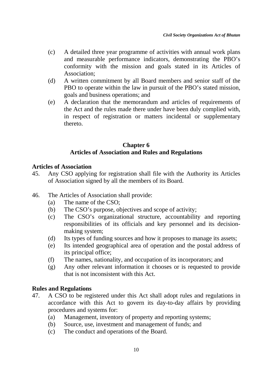- (c) A detailed three year programme of activities with annual work plans and measurable performance indicators, demonstrating the PBO's conformity with the mission and goals stated in its Articles of Association;
- (d) A written commitment by all Board members and senior staff of the PBO to operate within the law in pursuit of the PBO's stated mission, goals and business operations; and
- (e) A declaration that the memorandum and articles of requirements of the Act and the rules made there under have been duly complied with, in respect of registration or matters incidental or supplementary thereto.

## **Chapter 6 Articles of Association and Rules and Regulations**

## **Articles of Association**

- 45. Any CSO applying for registration shall file with the Authority its Articles of Association signed by all the members of its Board.
- 46. The Articles of Association shall provide:
	- (a) The name of the CSO;
	- (b) The CSO's purpose, objectives and scope of activity;
	- (c) The CSO's organizational structure, accountability and reporting responsibilities of its officials and key personnel and its decisionmaking system;
	- (d) Its types of funding sources and how it proposes to manage its assets;
	- (e) Its intended geographical area of operation and the postal address of its principal office;
	- (f) The names, nationality, and occupation of its incorporators; and
	- (g) Any other relevant information it chooses or is requested to provide that is not inconsistent with this Act.

## **Rules and Regulations**

- 47. A CSO to be registered under this Act shall adopt rules and regulations in accordance with this Act to govern its day-to-day affairs by providing procedures and systems for:
	- (a) Management, inventory of property and reporting systems;
	- (b) Source, use, investment and management of funds; and
	- (c) The conduct and operations of the Board.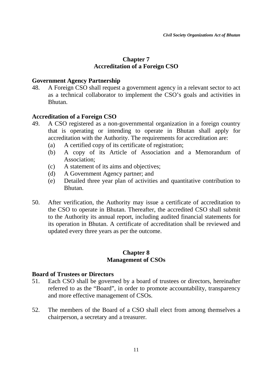## **Chapter 7 Accreditation of a Foreign CSO**

## **Government Agency Partnership**

48. A Foreign CSO shall request a government agency in a relevant sector to act as a technical collaborator to implement the CSO's goals and activities in Bhutan.

## **Accreditation of a Foreign CSO**

- 49. A CSO registered as a non-governmental organization in a foreign country that is operating or intending to operate in Bhutan shall apply for accreditation with the Authority. The requirements for accreditation are:
	- (a) A certified copy of its certificate of registration;
	- (b) A copy of its Article of Association and a Memorandum of Association;
	- (c) A statement of its aims and objectives;
	- (d) A Government Agency partner; and
	- (e) Detailed three year plan of activities and quantitative contribution to Bhutan.
- 50. After verification, the Authority may issue a certificate of accreditation to the CSO to operate in Bhutan. Thereafter, the accredited CSO shall submit to the Authority its annual report, including audited financial statements for its operation in Bhutan. A certificate of accreditation shall be reviewed and updated every three years as per the outcome.

## **Chapter 8 Management of CSOs**

## **Board of Trustees or Directors**

- 51. Each CSO shall be governed by a board of trustees or directors, hereinafter referred to as the "Board", in order to promote accountability, transparency and more effective management of CSOs.
- 52. The members of the Board of a CSO shall elect from among themselves a chairperson, a secretary and a treasurer.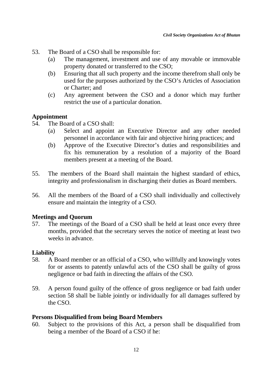- 53. The Board of a CSO shall be responsible for:
	- (a) The management, investment and use of any movable or immovable property donated or transferred to the CSO;
	- (b) Ensuring that all such property and the income therefrom shall only be used for the purposes authorized by the CSO's Articles of Association or Charter; and
	- (c) Any agreement between the CSO and a donor which may further restrict the use of a particular donation.

## **Appointment**

- 54. The Board of a CSO shall:
	- (a) Select and appoint an Executive Director and any other needed personnel in accordance with fair and objective hiring practices; and
	- (b) Approve of the Executive Director's duties and responsibilities and fix his remuneration by a resolution of a majority of the Board members present at a meeting of the Board.
- 55. The members of the Board shall maintain the highest standard of ethics, integrity and professionalism in discharging their duties as Board members.
- 56. All the members of the Board of a CSO shall individually and collectively ensure and maintain the integrity of a CSO.

## **Meetings and Quorum**

57. The meetings of the Board of a CSO shall be held at least once every three months, provided that the secretary serves the notice of meeting at least two weeks in advance.

# **Liability**

- 58. A Board member or an official of a CSO, who willfully and knowingly votes for or assents to patently unlawful acts of the CSO shall be guilty of gross negligence or bad faith in directing the affairs of the CSO.
- 59. A person found guilty of the offence of gross negligence or bad faith under section 58 shall be liable jointly or individually for all damages suffered by the CSO.

## **Persons Disqualified from being Board Members**

60. Subject to the provisions of this Act, a person shall be disqualified from being a member of the Board of a CSO if he: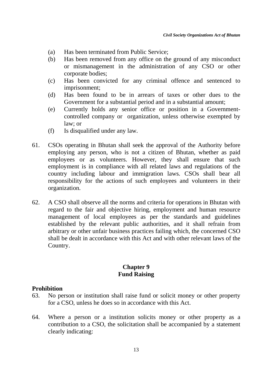- (a) Has been terminated from Public Service;
- (b) Has been removed from any office on the ground of any misconduct or mismanagement in the administration of any CSO or other corporate bodies;
- (c) Has been convicted for any criminal offence and sentenced to imprisonment;
- (d) Has been found to be in arrears of taxes or other dues to the Government for a substantial period and in a substantial amount;
- (e) Currently holds any senior office or position in a Governmentcontrolled company or organization, unless otherwise exempted by law; or
- (f) Is disqualified under any law.
- 61. CSOs operating in Bhutan shall seek the approval of the Authority before employing any person, who is not a citizen of Bhutan, whether as paid employees or as volunteers. However, they shall ensure that such employment is in compliance with all related laws and regulations of the country including labour and immigration laws. CSOs shall bear all responsibility for the actions of such employees and volunteers in their organization.
- 62. A CSO shall observe all the norms and criteria for operations in Bhutan with regard to the fair and objective hiring, employment and human resource management of local employees as per the standards and guidelines established by the relevant public authorities, and it shall refrain from arbitrary or other unfair business practices failing which, the concerned CSO shall be dealt in accordance with this Act and with other relevant laws of the Country.

# **Chapter 9 Fund Raising**

## **Prohibition**

- 63. No person or institution shall raise fund or solicit money or other property for a CSO, unless he does so in accordance with this Act.
- 64. Where a person or a institution solicits money or other property as a contribution to a CSO, the solicitation shall be accompanied by a statement clearly indicating: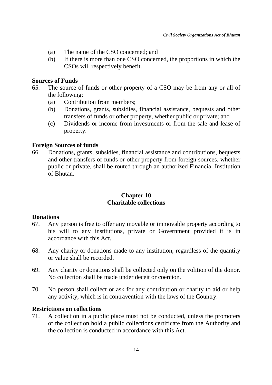- (a) The name of the CSO concerned; and
- (b) If there is more than one CSO concerned, the proportions in which the CSOs will respectively benefit.

#### **Sources of Funds**

- 65. The source of funds or other property of a CSO may be from any or all of the following:
	- (a) Contribution from members;
	- (b) Donations, grants, subsidies, financial assistance, bequests and other transfers of funds or other property, whether public or private; and
	- (c) Dividends or income from investments or from the sale and lease of property.

#### **Foreign Sources of funds**

66. Donations, grants, subsidies, financial assistance and contributions, bequests and other transfers of funds or other property from foreign sources, whether public or private, shall be routed through an authorized Financial Institution of Bhutan.

## **Chapter 10 Charitable collections**

#### **Donations**

- 67. Any person is free to offer any movable or immovable property according to his will to any institutions, private or Government provided it is in accordance with this Act.
- 68. Any charity or donations made to any institution, regardless of the quantity or value shall be recorded.
- 69. Any charity or donations shall be collected only on the volition of the donor. No collection shall be made under deceit or coercion.
- 70. No person shall collect or ask for any contribution or charity to aid or help any activity, which is in contravention with the laws of the Country.

## **Restrictions on collections**

71. A collection in a public place must not be conducted, unless the promoters of the collection hold a public collections certificate from the Authority and the collection is conducted in accordance with this Act.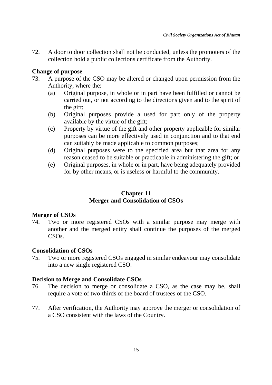72. A door to door collection shall not be conducted, unless the promoters of the collection hold a public collections certificate from the Authority.

# **Change of purpose**

- 73. A purpose of the CSO may be altered or changed upon permission from the Authority, where the:
	- (a) Original purpose, in whole or in part have been fulfilled or cannot be carried out, or not according to the directions given and to the spirit of the gift;
	- (b) Original purposes provide a used for part only of the property available by the virtue of the gift;
	- (c) Property by virtue of the gift and other property applicable for similar purposes can be more effectively used in conjunction and to that end can suitably be made applicable to common purposes;
	- (d) Original purposes were to the specified area but that area for any reason ceased to be suitable or practicable in administering the gift; or
	- (e) Original purposes, in whole or in part, have being adequately provided for by other means, or is useless or harmful to the community.

# **Chapter 11 Merger and Consolidation of CSOs**

## **Merger of CSOs**

74. Two or more registered CSOs with a similar purpose may merge with another and the merged entity shall continue the purposes of the merged CSOs.

## **Consolidation of CSOs**

75. Two or more registered CSOs engaged in similar endeavour may consolidate into a new single registered CSO.

## **Decision to Merge and Consolidate CSOs**

- 76. The decision to merge or consolidate a CSO, as the case may be, shall require a vote of two-thirds of the board of trustees of the CSO.
- 77. After verification, the Authority may approve the merger or consolidation of a CSO consistent with the laws of the Country.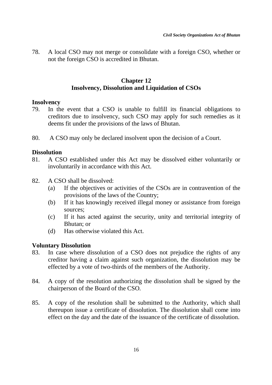78. A local CSO may not merge or consolidate with a foreign CSO, whether or not the foreign CSO is accredited in Bhutan.

## **Chapter 12 Insolvency, Dissolution and Liquidation of CSOs**

## **Insolvency**

- 79. In the event that a CSO is unable to fulfill its financial obligations to creditors due to insolvency, such CSO may apply for such remedies as it deems fit under the provisions of the laws of Bhutan.
- 80. A CSO may only be declared insolvent upon the decision of a Court.

# **Dissolution**

- 81. A CSO established under this Act may be dissolved either voluntarily or involuntarily in accordance with this Act.
- 82. A CSO shall be dissolved:
	- (a) If the objectives or activities of the CSOs are in contravention of the provisions of the laws of the Country;
	- (b) If it has knowingly received illegal money or assistance from foreign sources;
	- (c) If it has acted against the security, unity and territorial integrity of Bhutan; or
	- (d) Has otherwise violated this Act.

# **Voluntary Dissolution**

- 83. In case where dissolution of a CSO does not prejudice the rights of any creditor having a claim against such organization, the dissolution may be effected by a vote of two-thirds of the members of the Authority.
- 84. A copy of the resolution authorizing the dissolution shall be signed by the chairperson of the Board of the CSO.
- 85. A copy of the resolution shall be submitted to the Authority, which shall thereupon issue a certificate of dissolution. The dissolution shall come into effect on the day and the date of the issuance of the certificate of dissolution.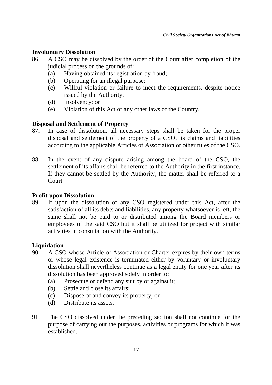## **Involuntary Dissolution**

- 86. A CSO may be dissolved by the order of the Court after completion of the judicial process on the grounds of:
	- (a) Having obtained its registration by fraud;
	- (b) Operating for an illegal purpose;
	- (c) Willful violation or failure to meet the requirements, despite notice issued by the Authority;
	- (d) Insolvency; or
	- (e) Violation of this Act or any other laws of the Country.

# **Disposal and Settlement of Property**

- 87. In case of dissolution, all necessary steps shall be taken for the proper disposal and settlement of the property of a CSO, its claims and liabilities according to the applicable Articles of Association or other rules of the CSO.
- 88. In the event of any dispute arising among the board of the CSO, the settlement of its affairs shall be referred to the Authority in the first instance. If they cannot be settled by the Authority, the matter shall be referred to a Court.

## **Profit upon Dissolution**

89. If upon the dissolution of any CSO registered under this Act, after the satisfaction of all its debts and liabilities, any property whatsoever is left, the same shall not be paid to or distributed among the Board members or employees of the said CSO but it shall be utilized for project with similar activities in consultation with the Authority.

# **Liquidation**

- 90. A CSO whose Article of Association or Charter expires by their own terms or whose legal existence is terminated either by voluntary or involuntary dissolution shall nevertheless continue as a legal entity for one year after its dissolution has been approved solely in order to:
	- (a) Prosecute or defend any suit by or against it;
	- (b) Settle and close its affairs;
	- (c) Dispose of and convey its property; or
	- (d) Distribute its assets.
- 91. The CSO dissolved under the preceding section shall not continue for the purpose of carrying out the purposes, activities or programs for which it was established.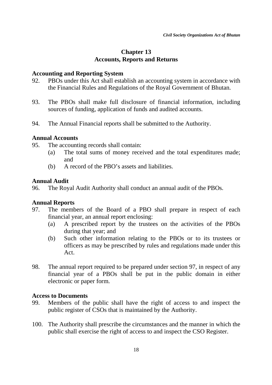## **Chapter 13 Accounts, Reports and Returns**

#### **Accounting and Reporting System**

- 92. PBOs under this Act shall establish an accounting system in accordance with the Financial Rules and Regulations of the Royal Government of Bhutan.
- 93. The PBOs shall make full disclosure of financial information, including sources of funding, application of funds and audited accounts.
- 94. The Annual Financial reports shall be submitted to the Authority.

#### **Annual Accounts**

- 95. The accounting records shall contain:
	- (a) The total sums of money received and the total expenditures made; and
	- (b) A record of the PBO's assets and liabilities.

#### **Annual Audit**

96. The Royal Audit Authority shall conduct an annual audit of the PBOs.

#### **Annual Reports**

- 97. The members of the Board of a PBO shall prepare in respect of each financial year, an annual report enclosing:
	- (a) A prescribed report by the trustees on the activities of the PBOs during that year; and
	- (b) Such other information relating to the PBOs or to its trustees or officers as may be prescribed by rules and regulations made under this Act.
- 98. The annual report required to be prepared under section 97, in respect of any financial year of a PBOs shall be put in the public domain in either electronic or paper form.

#### **Access to Documents**

- 99. Members of the public shall have the right of access to and inspect the public register of CSOs that is maintained by the Authority.
- 100. The Authority shall prescribe the circumstances and the manner in which the public shall exercise the right of access to and inspect the CSO Register.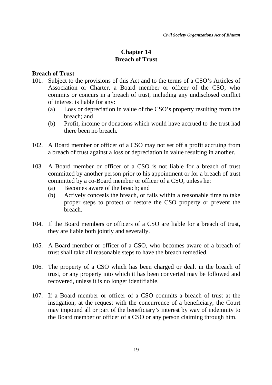# **Chapter 14 Breach of Trust**

## **Breach of Trust**

- 101. Subject to the provisions of this Act and to the terms of a CSO's Articles of Association or Charter, a Board member or officer of the CSO, who commits or concurs in a breach of trust, including any undisclosed conflict of interest is liable for any:
	- (a) Loss or depreciation in value of the CSO's property resulting from the breach; and
	- (b) Profit, income or donations which would have accrued to the trust had there been no breach.
- 102. A Board member or officer of a CSO may not set off a profit accruing from a breach of trust against a loss or depreciation in value resulting in another.
- 103. A Board member or officer of a CSO is not liable for a breach of trust committed by another person prior to his appointment or for a breach of trust committed by a co-Board member or officer of a CSO, unless he:
	- (a) Becomes aware of the breach; and
	- (b) Actively conceals the breach, or fails within a reasonable time to take proper steps to protect or restore the CSO property or prevent the breach.
- 104. If the Board members or officers of a CSO are liable for a breach of trust, they are liable both jointly and severally.
- 105. A Board member or officer of a CSO, who becomes aware of a breach of trust shall take all reasonable steps to have the breach remedied.
- 106. The property of a CSO which has been charged or dealt in the breach of trust, or any property into which it has been converted may be followed and recovered, unless it is no longer identifiable.
- 107. If a Board member or officer of a CSO commits a breach of trust at the instigation, at the request with the concurrence of a beneficiary, the Court may impound all or part of the beneficiary's interest by way of indemnity to the Board member or officer of a CSO or any person claiming through him.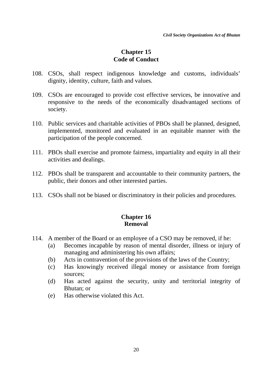# **Chapter 15 Code of Conduct**

- 108. CSOs, shall respect indigenous knowledge and customs, individuals' dignity, identity, culture, faith and values.
- 109. CSOs are encouraged to provide cost effective services, be innovative and responsive to the needs of the economically disadvantaged sections of society.
- 110. Public services and charitable activities of PBOs shall be planned, designed, implemented, monitored and evaluated in an equitable manner with the participation of the people concerned.
- 111. PBOs shall exercise and promote fairness, impartiality and equity in all their activities and dealings.
- 112. PBOs shall be transparent and accountable to their community partners, the public, their donors and other interested parties.
- 113. CSOs shall not be biased or discriminatory in their policies and procedures.

# **Chapter 16 Removal**

- 114. A member of the Board or an employee of a CSO may be removed, if he:
	- (a) Becomes incapable by reason of mental disorder, illness or injury of managing and administering his own affairs;
	- (b) Acts in contravention of the provisions of the laws of the Country;
	- (c) Has knowingly received illegal money or assistance from foreign sources;
	- (d) Has acted against the security, unity and territorial integrity of Bhutan; or
	- (e) Has otherwise violated this Act.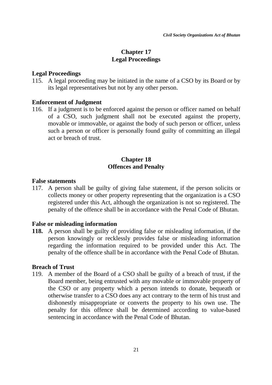## **Chapter 17 Legal Proceedings**

#### **Legal Proceedings**

115. A legal proceeding may be initiated in the name of a CSO by its Board or by its legal representatives but not by any other person.

## **Enforcement of Judgment**

116. If a judgment is to be enforced against the person or officer named on behalf of a CSO, such judgment shall not be executed against the property, movable or immovable, or against the body of such person or officer, unless such a person or officer is personally found guilty of committing an illegal act or breach of trust.

## **Chapter 18 Offences and Penalty**

## **False statements**

117. A person shall be guilty of giving false statement, if the person solicits or collects money or other property representing that the organization is a CSO registered under this Act, although the organization is not so registered. The penalty of the offence shall be in accordance with the Penal Code of Bhutan.

#### **False or misleading information**

**118.** A person shall be guilty of providing false or misleading information, if the person knowingly or recklessly provides false or misleading information regarding the information required to be provided under this Act. The penalty of the offence shall be in accordance with the Penal Code of Bhutan.

#### **Breach of Trust**

119. A member of the Board of a CSO shall be guilty of a breach of trust, if the Board member, being entrusted with any movable or immovable property of the CSO or any property which a person intends to donate, bequeath or otherwise transfer to a CSO does any act contrary to the term of his trust and dishonestly misappropriate or converts the property to his own use. The penalty for this offence shall be determined according to value-based sentencing in accordance with the Penal Code of Bhutan.